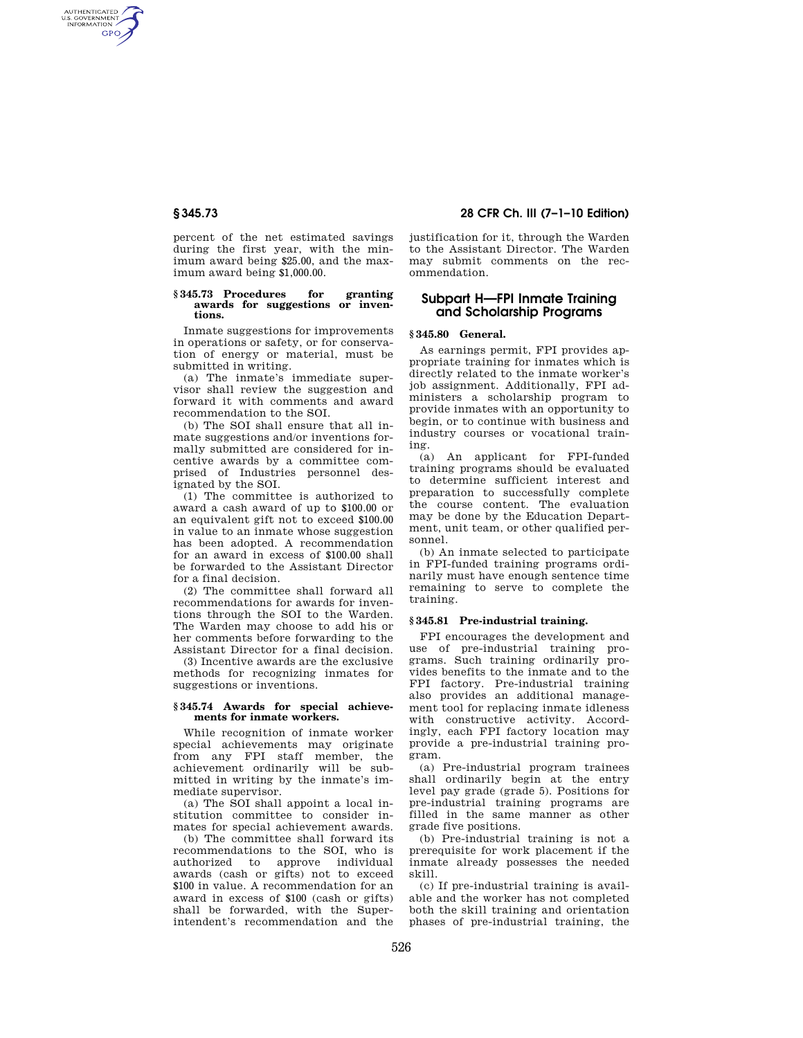AUTHENTICATED<br>U.S. GOVERNMENT<br>INFORMATION **GPO** 

> percent of the net estimated savings during the first year, with the minimum award being \$25.00, and the maximum award being \$1,000.00.

#### **§ 345.73 Procedures for granting awards for suggestions or inventions.**

Inmate suggestions for improvements in operations or safety, or for conservation of energy or material, must be submitted in writing.

(a) The inmate's immediate supervisor shall review the suggestion and forward it with comments and award recommendation to the SOI.

(b) The SOI shall ensure that all inmate suggestions and/or inventions formally submitted are considered for incentive awards by a committee comprised of Industries personnel designated by the SOI.

(1) The committee is authorized to award a cash award of up to \$100.00 or an equivalent gift not to exceed \$100.00 in value to an inmate whose suggestion has been adopted. A recommendation for an award in excess of \$100.00 shall be forwarded to the Assistant Director for a final decision.

(2) The committee shall forward all recommendations for awards for inventions through the SOI to the Warden. The Warden may choose to add his or her comments before forwarding to the Assistant Director for a final decision.

(3) Incentive awards are the exclusive methods for recognizing inmates for suggestions or inventions.

### **§ 345.74 Awards for special achievements for inmate workers.**

While recognition of inmate worker special achievements may originate from any FPI staff member, the achievement ordinarily will be submitted in writing by the inmate's immediate supervisor.

(a) The SOI shall appoint a local institution committee to consider inmates for special achievement awards.

(b) The committee shall forward its recommendations to the SOI, who is authorized to approve individual awards (cash or gifts) not to exceed \$100 in value. A recommendation for an award in excess of \$100 (cash or gifts) shall be forwarded, with the Superintendent's recommendation and the

# **§ 345.73 28 CFR Ch. III (7–1–10 Edition)**

justification for it, through the Warden to the Assistant Director. The Warden may submit comments on the recommendation.

# **Subpart H—FPI Inmate Training and Scholarship Programs**

### **§ 345.80 General.**

As earnings permit, FPI provides appropriate training for inmates which is directly related to the inmate worker's job assignment. Additionally, FPI administers a scholarship program to provide inmates with an opportunity to begin, or to continue with business and industry courses or vocational training.

(a) An applicant for FPI-funded training programs should be evaluated to determine sufficient interest and preparation to successfully complete the course content. The evaluation may be done by the Education Department, unit team, or other qualified personnel.

(b) An inmate selected to participate in FPI-funded training programs ordinarily must have enough sentence time remaining to serve to complete the training.

## **§ 345.81 Pre-industrial training.**

FPI encourages the development and use of pre-industrial training programs. Such training ordinarily provides benefits to the inmate and to the FPI factory. Pre-industrial training also provides an additional management tool for replacing inmate idleness with constructive activity. Accordingly, each FPI factory location may provide a pre-industrial training program.

(a) Pre-industrial program trainees shall ordinarily begin at the entry level pay grade (grade 5). Positions for pre-industrial training programs are filled in the same manner as other grade five positions.

(b) Pre-industrial training is not a prerequisite for work placement if the inmate already possesses the needed skill.

(c) If pre-industrial training is available and the worker has not completed both the skill training and orientation phases of pre-industrial training, the